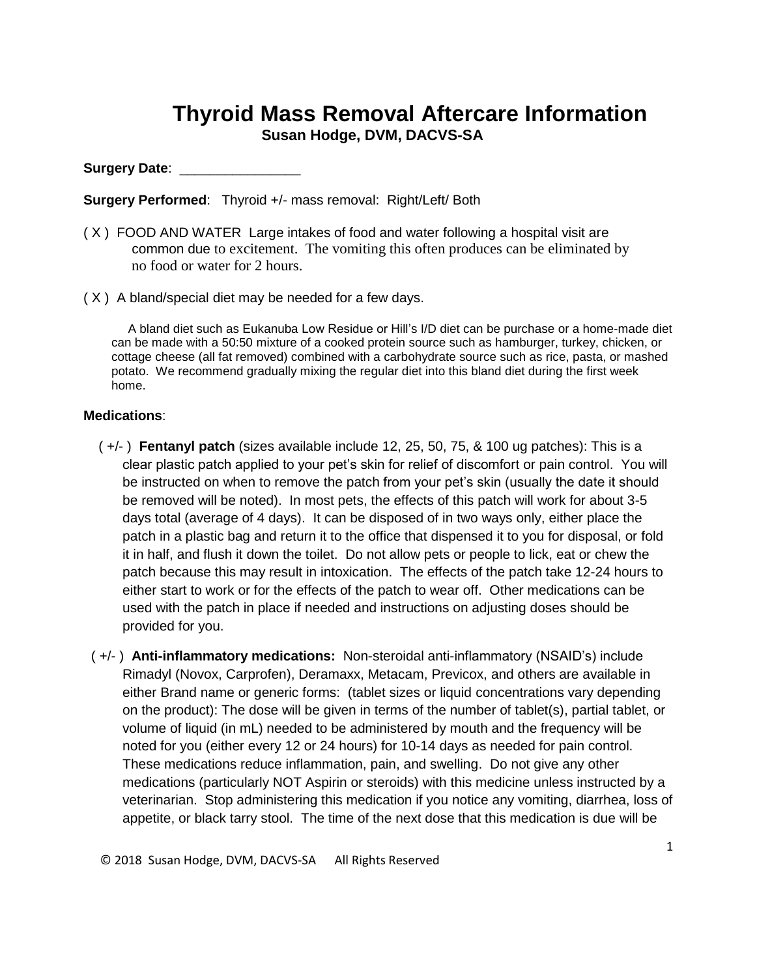## **Thyroid Mass Removal Aftercare Information Susan Hodge, DVM, DACVS-SA**

## **Surgery Date**: \_\_\_\_\_\_\_\_\_\_\_\_\_\_\_\_

**Surgery Performed**: Thyroid +/- mass removal: Right/Left/ Both

- ( X ) FOOD AND WATER Large intakes of food and water following a hospital visit are common due to excitement. The vomiting this often produces can be eliminated by no food or water for 2 hours.
- ( X ) A bland/special diet may be needed for a few days.

A bland diet such as Eukanuba Low Residue or Hill's I/D diet can be purchase or a home-made diet can be made with a 50:50 mixture of a cooked protein source such as hamburger, turkey, chicken, or cottage cheese (all fat removed) combined with a carbohydrate source such as rice, pasta, or mashed potato. We recommend gradually mixing the regular diet into this bland diet during the first week home.

## **Medications**:

- ( +/- ) **Fentanyl patch** (sizes available include 12, 25, 50, 75, & 100 ug patches): This is a clear plastic patch applied to your pet's skin for relief of discomfort or pain control. You will be instructed on when to remove the patch from your pet's skin (usually the date it should be removed will be noted). In most pets, the effects of this patch will work for about 3-5 days total (average of 4 days). It can be disposed of in two ways only, either place the patch in a plastic bag and return it to the office that dispensed it to you for disposal, or fold it in half, and flush it down the toilet. Do not allow pets or people to lick, eat or chew the patch because this may result in intoxication. The effects of the patch take 12-24 hours to either start to work or for the effects of the patch to wear off. Other medications can be used with the patch in place if needed and instructions on adjusting doses should be provided for you.
- ( +/- ) **Anti-inflammatory medications:** Non-steroidal anti-inflammatory (NSAID's) include Rimadyl (Novox, Carprofen), Deramaxx, Metacam, Previcox, and others are available in either Brand name or generic forms: (tablet sizes or liquid concentrations vary depending on the product): The dose will be given in terms of the number of tablet(s), partial tablet, or volume of liquid (in mL) needed to be administered by mouth and the frequency will be noted for you (either every 12 or 24 hours) for 10-14 days as needed for pain control. These medications reduce inflammation, pain, and swelling. Do not give any other medications (particularly NOT Aspirin or steroids) with this medicine unless instructed by a veterinarian. Stop administering this medication if you notice any vomiting, diarrhea, loss of appetite, or black tarry stool. The time of the next dose that this medication is due will be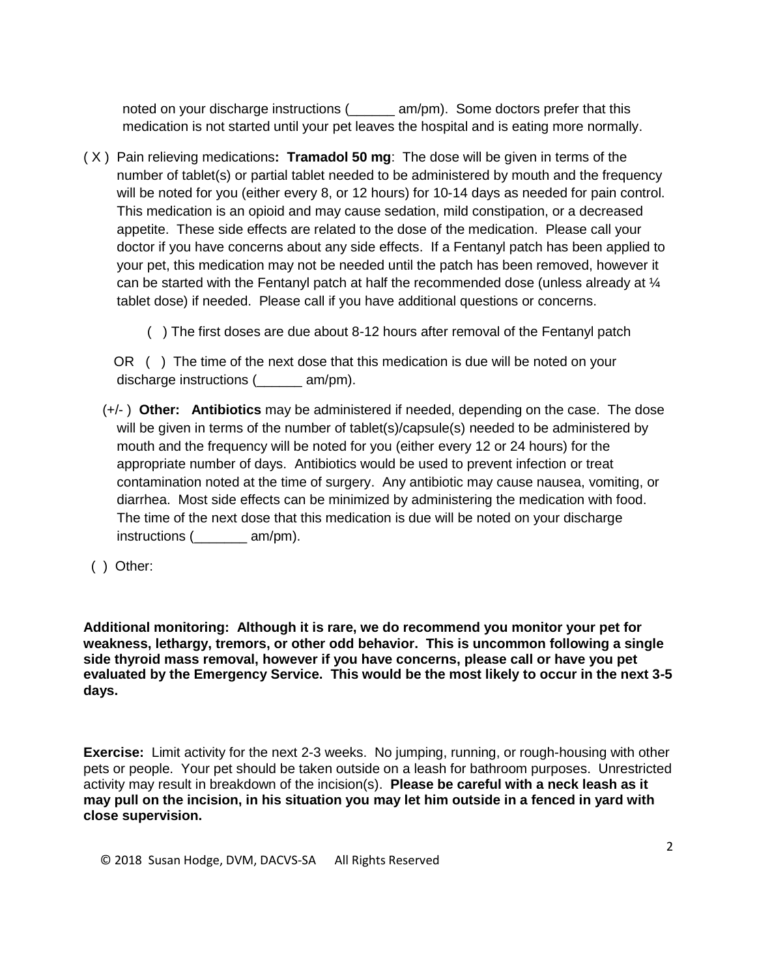noted on your discharge instructions (\_\_\_\_\_\_ am/pm). Some doctors prefer that this medication is not started until your pet leaves the hospital and is eating more normally.

( X ) Pain relieving medications**: Tramadol 50 mg**: The dose will be given in terms of the number of tablet(s) or partial tablet needed to be administered by mouth and the frequency will be noted for you (either every 8, or 12 hours) for 10-14 days as needed for pain control. This medication is an opioid and may cause sedation, mild constipation, or a decreased appetite. These side effects are related to the dose of the medication. Please call your doctor if you have concerns about any side effects. If a Fentanyl patch has been applied to your pet, this medication may not be needed until the patch has been removed, however it can be started with the Fentanyl patch at half the recommended dose (unless already at ¼ tablet dose) if needed. Please call if you have additional questions or concerns.

( ) The first doses are due about 8-12 hours after removal of the Fentanyl patch

 OR ( ) The time of the next dose that this medication is due will be noted on your discharge instructions (  $am/m$ ).

- (+/- ) **Other: Antibiotics** may be administered if needed, depending on the case. The dose will be given in terms of the number of tablet(s)/capsule(s) needed to be administered by mouth and the frequency will be noted for you (either every 12 or 24 hours) for the appropriate number of days. Antibiotics would be used to prevent infection or treat contamination noted at the time of surgery. Any antibiotic may cause nausea, vomiting, or diarrhea. Most side effects can be minimized by administering the medication with food. The time of the next dose that this medication is due will be noted on your discharge instructions (  $am/m$ ).
- ( ) Other:

**Additional monitoring: Although it is rare, we do recommend you monitor your pet for weakness, lethargy, tremors, or other odd behavior. This is uncommon following a single side thyroid mass removal, however if you have concerns, please call or have you pet evaluated by the Emergency Service. This would be the most likely to occur in the next 3-5 days.** 

**Exercise:** Limit activity for the next 2-3 weeks. No jumping, running, or rough-housing with other pets or people. Your pet should be taken outside on a leash for bathroom purposes. Unrestricted activity may result in breakdown of the incision(s). **Please be careful with a neck leash as it may pull on the incision, in his situation you may let him outside in a fenced in yard with close supervision.**